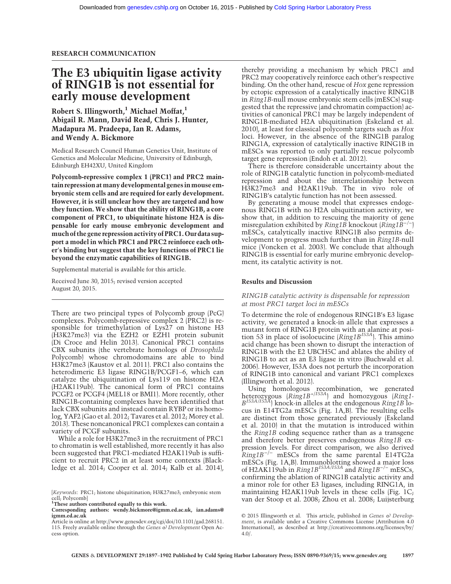# The E3 ubiquitin ligase activity of RING1B is not essential for early mouse development

Robert S. Illingworth,<sup>1</sup> Michael Moffat,<sup>1</sup> Abigail R. Mann, David Read, Chris J. Hunter, Madapura M. Pradeepa, Ian R. Adams, and Wendy A. Bickmore

Medical Research Council Human Genetics Unit, Institute of Genetics and Molecular Medicine, University of Edinburgh, Edinburgh EH42XU, United Kingdom

Polycomb-repressive complex 1 (PRC1) and PRC2 maintain repression atmany developmental genes inmouse embryonic stem cells and are required for early development. However, it is still unclear how they are targeted and how they function. We show that the ability of RING1B, a core component of PRC1, to ubiquitinate histone H2A is dispensable for early mouse embryonic development and much of the gene repression activity of PRC1.Our data support a model in which PRC1 and PRC2 reinforce each other's binding but suggest that the key functions of PRC1 lie beyond the enzymatic capabilities of RING1B.

Supplemental material is available for this article.

Received June 30, 2015; revised version accepted August 20, 2015.

There are two principal types of Polycomb group (PcG) complexes. Polycomb-repressive complex 2 (PRC2) is responsible for trimethylation of Lys27 on histone H3 (H3K27me3) via the EZH2 or EZH1 protein subunit (Di Croce and Helin 2013). Canonical PRC1 contains CBX subunits (the vertebrate homologs of Drosophila Polycomb) whose chromodomains are able to bind H3K27me3 (Kaustov et al. 2011). PRC1 also contains the heterodimeric E3 ligase RING1B/PCGF1–6, which can catalyze the ubiquitination of Lys119 on histone H2A (H2AK119ub). The canonical form of PRC1 contains PCGF2 or PCGF4 (MEL18 or BMI1). More recently, other RING1B-containing complexes have been identified that lack CBX subunits and instead contain RYBP or its homolog, YAF2 (Gao et al. 2012; Tavares et al. 2012; Morey et al. 2013). These noncanonical PRC1 complexes can contain a variety of PCGF subunits.

While a role for H3K27me3 in the recruitment of PRC1 to chromatin is well established, more recently it has also been suggested that PRC1-mediated H2AK119ub is sufficient to recruit PRC2 in at least some contexts (Blackledge et al. 2014; Cooper et al. 2014; Kalb et al. 2014),

<sup>1</sup>These authors contributed equally to this work.

thereby providing a mechanism by which PRC1 and PRC2 may cooperatively reinforce each other's respective binding. On the other hand, rescue of Hox gene repression by ectopic expression of a catalytically inactive RING1B in Ring1B-null mouse embryonic stem cells (mESCs) suggested that the repressive (and chromatin compaction) activities of canonical PRC1 may be largely independent of RING1B-mediated H2A ubiquitination (Eskeland et al. 2010), at least for classical polycomb targets such as Hox loci. However, in the absence of the RING1B paralog RING1A, expression of catalytically inactive RING1B in mESCs was reported to only partially rescue polycomb target gene repression (Endoh et al. 2012).

There is therefore considerable uncertainty about the role of RING1B catalytic function in polycomb-mediated repression and about the interrelationship between H3K27me3 and H2AK119ub. The in vivo role of RING1B's catalytic function has not been assessed.

By generating a mouse model that expresses endogenous RING1B with no H2A ubiquitination activity, we show that, in addition to rescuing the majority of gene misregulation exhibited by  $Ring1B$  knockout  $(Ring1B^{-/-})$ mESCs, catalytically inactive RING1B also permits development to progress much further than in Ring1B-null mice (Voncken et al. 2003). We conclude that although RING1B is essential for early murine embryonic development, its catalytic activity is not.

## Results and Discussion

# RING1B catalytic activity is dispensable for repression at most PRC1 target loci in mESCs

To determine the role of endogenous RING1B's E3 ligase activity, we generated a knock-in allele that expresses a mutant form of RING1B protein with an alanine at position 53 in place of isoloeucine (*Ring1B<sup>153A</sup>*). This amino acid change has been shown to disrupt the interaction of RING1B with the E2 UBCH5C and ablates the ability of RING1B to act as an E3 ligase in vitro (Buchwald et al. 2006). However, I53A does not perturb the incorporation of RING1B into canonical and variant PRC1 complexes (Illingworth et al. 2012).

Using homologous recombination, we generated<br>heterozygous (*Ring1B<sup>+/I53A*)</sup> and homozygous (*Ring1*- $B^{153A/153A}$ ) knock-in alleles at the endogenous Ring1B locus in E14TG2a mESCs (Fig. 1A,B). The resulting cells are distinct from those generated previously (Eskeland et al. 2010) in that the mutation is introduced within the Ring1B coding sequence rather than as a transgene and therefore better preserves endogenous Ring1B expression levels. For direct comparison, we also derived Ring1B−/<sup>−</sup> mESCs from the same parental E14TG2a mESCs (Fig. 1A,B). Immunoblotting showed a major loss<br>of H2AK119ub in *Ring1B<sup>153A/I53A</sup>* and *Ring1B<sup>−/−</sup> mESCs,* confirming the ablation of RING1B catalytic activity and a minor role for other E3 ligases, including RING1A, in maintaining H2AK119ub levels in these cells (Fig. 1C; van der Stoop et al. 2008; Zhou et al. 2008; Luijsterburg

<sup>[</sup>Keywords: PRC1; histone ubiquitination; H3K27me3; embryonic stem cell; Polycomb]

Corresponding authors: [wendy.bickmore@igmm.ed.ac.uk](mailto:wendy.bickmore@igmm.ed.ac.uk), [ian.adams@](mailto:ian.adams@igmm.ed.ac.uk) [igmm.ed.ac.uk](mailto:ian.adams@igmm.ed.ac.uk)

Article is online at [http://www.genesdev.org/cgi/doi/10.1101/gad.268151.](http://www.genesdev.org/cgi/doi/10.1101/gad.268151.115) [115.](http://www.genesdev.org/cgi/doi/10.1101/gad.268151.115) Freely available online through the Genes  $\omega$  Development Open Access option.

[<sup>© 2015</sup> Illingworth et al.](http://genesdev.cshlp.org/site/misc/terms.xhtml) This article, published in Genes & Development, is available under a Creative Commons License (Attribution 4.0 International), as described at [http://creativecommons.org/licenses/by/](http://creativecommons.org/licenses/by/4.0/) [4.0/](http://creativecommons.org/licenses/by/4.0/).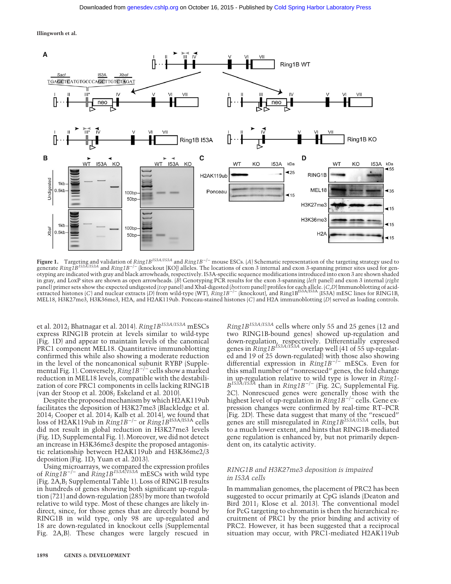Illingworth et al.



Figure 1. Targeting and validation of Ring1B<sup>I53A/I53A</sup> and Ring1B<sup>-/−</sup> mouse ESCs. [A] Schematic representation of the targeting strategy used to generate Ring1B<sup>I53A/I53A</sup> and Ring1B<sup>−/−</sup> (knockout [KO]) alleles. The locations of exon 3 internal and exon 3-spanning primer sites used for genotyping are indicated with gray and black arrowheads, respectively. I53A-specific sequence modifications introduced into exon 3 are shown shaded in gray, and LoxP sites are shown as open arrowheads.  $(B)$  Genotyping PCR results for the exon 3-spanning (left panel) and exon 3 internal (right panel) primer sets show the expected undigested (*top* panel) and XbaI-digested (*bottom* panel) profiles for each allele. (*C,D*) Immunoblotting of acid-<br>extracted histones (*C*) and nuclear extracts (*D*) from wild-type MEL18, H3K27me3, H3K36me3, H2A, and H2AK119ub. Ponceau-stained histones (C) and H2A immunoblotting (D) served as loading controls.

et al. 2012; Bhatnagar et al. 2014).  $Ring1B^{153A/153A}$  mESCs express RING1B protein at levels similar to wild-type (Fig. 1D) and appear to maintain levels of the canonical PRC1 component MEL18. Quantitative immunoblotting confirmed this while also showing a moderate reduction in the level of the noncanonical subunit RYBP (Supplemental Fig. 1). Conversely, Ring1B−/<sup>−</sup> cells show a marked reduction in MEL18 levels, compatible with the destabilization of core PRC1 components in cells lacking RING1B (van der Stoop et al. 2008; Eskeland et al. 2010).

Despite the proposed mechanism by which H2AK119ub facilitates the deposition of H3K27me3 (Blackledge et al. 2014; Cooper et al. 2014; Kalb et al. 2014), we found that loss of H2AK119ub in  $Ring1B^{-/-}$  or  $Ring1B^{153A/153A}$  cells did not result in global reduction in H3K27me3 levels (Fig. 1D; Supplemental Fig. 1). Moreover, we did not detect an increase in H3K36me3 despite the proposed antagonistic relationship between H2AK119ub and H3K36me2/3 deposition (Fig. 1D; Yuan et al. 2013).

Using microarrays, we compared the expression profiles of  $Ring1B^{-/-}$  and  $Ring1B^{153A/153A}$  mESCs with wild type (Fig. 2A,B; Supplemental Table 1). Loss of RING1B results in hundreds of genes showing both significant up-regulation (721) and down-regulation (285) by more than twofold relative to wild type. Most of these changes are likely indirect, since, for those genes that are directly bound by RING1B in wild type, only 98 are up-regulated and 18 are down-regulated in knockout cells (Supplemental Fig. 2A,B). These changes were largely rescued in

Ring1BI53A/I53A cells where only 55 and 25 genes (12 and two RING1B-bound genes) showed up-regulation and down-regulation, respectively. Differentially expressed<br>genes in R*ing1B<sup>153A/I53A* overlap well (41 of 55 up-regulat-</sup> ed and 19 of 25 down-regulated) with those also showing differential expression in Ring1B−/<sup>−</sup> mESCs. Even for this small number of "nonrescued" genes, the fold change in up-regulation relative to wild type is lower in *Ring1-*<br> $B^{153A/153A}$  than in *Ring1B<sup>-/-</sup>* (Fig. 2C; Supplemental Fig. 2C). Nonrescued genes were generally those with the<br>highest level of up-regulation in Ring1B<sup>−/−</sup> cells. Gene expression changes were confirmed by real-time RT–PCR (Fig. 2D). These data suggest that many of the "rescued"<br>genes are still misregulated in *Ring1B<sup>153A/I53A* cells, but</sup> to a much lower extent, and hints that RING1B-mediated gene regulation is enhanced by, but not primarily dependent on, its catalytic activity.

# RING1B and H3K27me3 deposition is impaired in I53A cells

In mammalian genomes, the placement of PRC2 has been suggested to occur primarily at CpG islands (Deaton and Bird 2011; Klose et al. 2013). The conventional model for PcG targeting to chromatin is then the hierarchical recruitment of PRC1 by the prior binding and activity of PRC2. However, it has been suggested that a reciprocal situation may occur, with PRC1-mediated H2AK119ub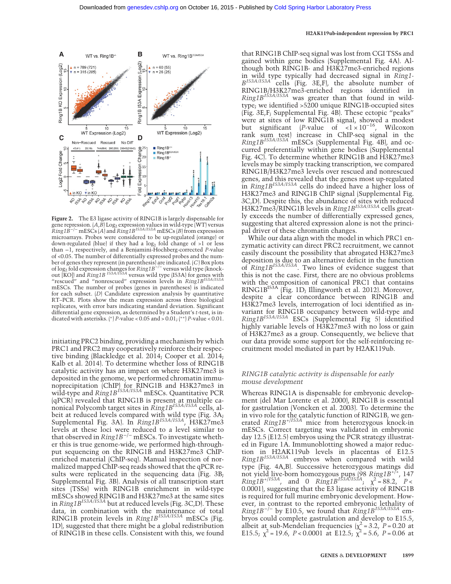#### H2AK119ub-independent repression by PRC1



Figure 2. The E3 ligase activity of RING1B is largely dispensable for gene repression.  $(A,B]$  Log<sub>2</sub> expression values in wild-type (WT) versus<br> $Ring1B^{-/-}$  mESCs  $(A)$  and  $Ring1B^{153A/153A}$  mESCs  $(B)$  from expression microarrays. Probes were considered to be up-regulated (orange) or down-regulated (blue) if they had a  $log_2$  fold change of >1 or less than −1, respectively, and a Benjamini-Hochberg-corrected P-value of <0.05. The number of differentially expressed probes and the number of genes they represent (in parenthesis) are indicated. (C) Box plots<br>of log<sub>2</sub> fold expression changes for *Ring1B<sup>−/−</sup>* versus wild type (knock-<br>out [KO]) and *Ring1B <sup>153A/I53A* versus wild type (I53A) for genes wi</sup> "rescued" and "nonrescued" expression levels in Ring1B<sup>153A/I53A</sup> mESCs. The number of probes (genes in parentheses) is indicated for each subset. (D) Candidate expression analysis by quantitative RT–PCR. Plots show the mean expression across three biological replicates, with error bars indicating standard deviation. Significant differential gene expression, as determined by a Student's t-test, is indicated with asterisks. (\*) P-value <  $0.05$  and >  $0.01$ ; (\*\*) P-value <  $0.01$ .

initiating PRC2 binding, providing a mechanism by which PRC1 and PRC2 may cooperatively reinforce their respective binding (Blackledge et al. 2014; Cooper et al. 2014; Kalb et al. 2014). To determine whether loss of RING1B catalytic activity has an impact on where H3K27me3 is deposited in the genome, we performed chromatin immunoprecipitation (ChIP) for RING1B and H3K27me3 in<br>wild-type and *Ring1B<sup>153A/I53A* mESCs. Quantitative PCR</sup> (qPCR) revealed that RING1B is present at multiple ca-<br>nonical Polycomb target sites in *Ring1B<sup>153A/I53A</sup>* cells, albeit at reduced levels compared with wild type (Fig. 3A;<br>Supplemental Fig. 3A). In *Ring1B<sup>153A/153A</sup>,* H3K27me3 levels at these loci were reduced to a level similar to that observed in  $Ring1B^{-/-}$  mESCs. To investigate whether this is true genome-wide, we performed high-throughput sequencing on the RING1B and H3K27me3 ChIPenriched material (ChIP-seq). Manual inspection of normalized mapped ChIP-seq reads showed that the qPCR results were replicated in the sequencing data (Fig. 3B; Supplemental Fig. 3B). Analysis of all transcription start sites (TSSs) with RING1B enrichment in wild-type mESCs showed RING1B and H3K27me3 at the same sites in  $Ring1B<sup>153A/153A</sup>$  but at reduced levels (Fig. 3C,D). These data, in combination with the maintenance of total<br>RING1B protein levels in *Ring1B<sup>153A/I53A</sup>* mESCs (Fig. 1D), suggested that there might be a global redistribution of RING1B in these cells. Consistent with this, we found

that RING1B ChIP-seq signal was lost from CGI TSSs and gained within gene bodies (Supplemental Fig. 4A). Although both RING1B- and H3K27me3-enriched regions in wild type typically had decreased signal in *Ring1*-<br>B<sup>I53A/I53A</sup> cells (Fig. 3E,F), the absolute number of RING1B/H3K27me3-enriched regions identified in  $Ring1B^{153A/153A}$  was greater than that found in wildtype; we identified >5200 unique RING1B-occupied sites (Fig. 3E,F; Supplemental Fig. 4B). These ectopic "peaks" were at sites of low RING1B signal, showed a modest but significant (P-value of  $\times 1 \times 10^{-16}$ , Wilcoxon rank sum test) increase in ChIP-seq signal in the  $Ring1B^{153A/153A'}$  mESCs (Supplemental Fig. 4B), and occurred preferentially within gene bodies (Supplemental Fig. 4C). To determine whether RING1B and H3K27me3 levels may be simply tracking transcription, we compared RING1B/H3K27me3 levels over rescued and nonrescued genes, and this revealed that the genes most up-regulated in  $Ring1B^{153A/153A}$  cells do indeed have a higher loss of H3K27me3 and RING1B ChIP signal (Supplemental Fig. 3C,D). Despite this, the abundance of sites with reduced<br>H3K27me3/RING1B levels in *Ring1B<sup>I53A/I53A</sup>* cells greatly exceeds the number of differentially expressed genes, suggesting that altered expression alone is not the principal driver of these chromatin changes.

While our data align with the model in which PRC1 enzymatic activity can direct PRC2 recruitment, we cannot easily discount the possibility that abrogated H3K27me3 deposition is due to an alternative deficit in the function<br>of *Ring1B<sup>I53A/I53A*</sup>. Two lines of evidence suggest that this is not the case. First, there are no obvious problems with the composition of canonical PRC1 that contains RING1B<sup>I53A</sup> (Fig. 1D; Illingworth et al. 2012). Moreover, despite a clear concordance between RING1B and H3K27me3 levels, interrogation of loci identified as invariant for RING1B occupancy between wild-type and Ring1BI53A/I53A ESCs (Supplemental Fig 5) identified highly variable levels of H3K27me3 with no loss or gain of H3K27me3 as a group. Consequently, we believe that our data provide some support for the self-reinforcing recruitment model mediated in part by H2AK119ub.

# RING1B catalytic activity is dispensable for early mouse development

Whereas RING1A is dispensable for embryonic development (del Mar Lorente et al. 2000), RING1B is essential for gastrulation (Voncken et al. 2003). To determine the in vivo role for the catalytic function of RING1B, we generated  $Ring1B^{+/I53A}$  mice from heterozygous knock-in mESCs. Correct targeting was validated in embryonic day 12.5 (E12.5) embryos using the PCR strategy illustrated in Figure 1A. Immunoblotting showed a major reduction in H2AK119ub levels in placentas of E12.5 Ring1B<sup>153A/I53A</sup> embryos when compared with wild type (Fig. 4A,B). Successive heterozygous matings did not yield live-born homozygous pups (98 Ring1B<sup>+/+</sup>, 147  $Ring1B^{+/I53A}$ , and 0  $Ring1B^{I53A/IB3A}$ ;  $\chi^2 = 88.2$ ,  $P <$ 0.0001), suggesting that the E3 ligase activity of RING1B is required for full murine embryonic development. However, in contrast to the reported embryonic lethality of Ring1B<sup>-/-</sup> by E10.5, we found that  $Ring1B^{153A/153A}$  embryos could complete gastrulation and develop to E15.5, albeit at sub-Mendelian frequencies  $\chi^2 = 3.2$ ,  $P = 0.20$  at E15.5;  $\chi^2$  = 19.6, P < 0.0001 at E12.5;  $\chi^2$  = 5.6, P = 0.06 at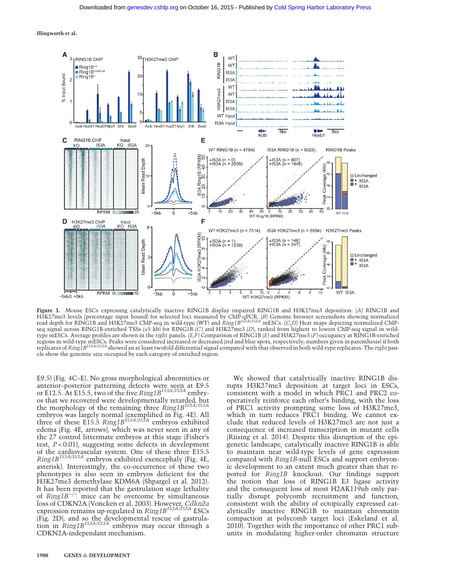Illingworth et al.



Figure 3. Mouse ESCs expressing catalytically inactive RING1B display impaired RING1B and H3K27me3 deposition. (A) RING1B and H3K27me3 levels (percentage input bound) for selected loci measured by ChIP-qPCR. *[B]* Genome browser screenshots showing normalized<br>read depth for RING1B and H3K27me3 ChIP-seq in wild-type (WT) and *Ring1B<sup>153A/153A* mES</sup> seq signal across RING1B-enriched TSSs (±5 kb) for RING1B (C) and H3K27me3 (D), ranked from highest to lowest ChIP-seq signal in wildtype mESCs. Average profiles are shown in the right panels.  $(E, F)$  Comparison of RING1B (E) and H3K27me3 (F) occupancy at RING1B-enriched regions in wild-type mESCs. Peaks were considered increased or decreased (red and blue spots, respectively; numbers given in parenthesis) if both<br>replicates of *Ring1B<sup>153A/153A* showed an at least twofold differential sig</sup> els show the genomic size occupied by each category of enriched region.

E9.5) (Fig. 4C–E). No gross morphological abnormities or anterior–posterior patterning defects were seen at E9.5 or E12.5. At E15.5, two of the five  $Ring1B^{153A/153A}$  embryos that we recovered were developmentally retarded, but the morphology of the remaining three  $\text{Ring1B}^{153A/153A}$ embryos was largely normal (exemplified in Fig. 4E). All<br>three of these E15.5 *Ring1B<sup>153A/I53A* embryos exhibited</sup> edema (Fig. 4E, arrows), which was never seen in any of the 27 control littermate embryos at this stage (Fisher's test,  $P < 0.01$ , suggesting some defects in development of the cardiovascular system. One of these three E15.5  $Ring1B^{153A/153A}$  embryos exhibited exencephaly (Fig. 4E, asterisk). Interestingly, the co-occurrence of these two phenotypes is also seen in embryos deficient for the H3K27me3 demethylase KDM6A (Shpargel et al. 2012). It has been reported that the gastrulation stage lethality of  $Ring1B^{-/-}$  mice can be overcome by simultaneous loss of CDKN2A (Voncken et al. 2003). However, *Cdkn2a*<br>expression remains up-regulated in *Ring1B<sup>153A/153A* ESCs</sup> (Fig. 2D), and so the developmental rescue of gastrulation in *Ring1B<sup>153A/I53A* embryos may occur through a</sup> CDKN2A-independant mechanism.

We showed that catalytically inactive RING1B disrupts H3K27me3 deposition at target loci in ESCs, consistent with a model in which PRC1 and PRC2 cooperatively reinforce each other's binding, with the loss of PRC1 activity prompting some loss of H3K27me3, which in turn reduces PRC1 binding. We cannot exclude that reduced levels of H3K27me3 are not just a consequence of increased transcription in mutant cells (Riising et al. 2014). Despite this disruption of the epigenetic landscape, catalytically inactive RING1B is able to maintain near wild-type levels of gene expression compared with Ring1B-null ESCs and support embryonic development to an extent much greater than that reported for Ring1B knockout. Our findings support the notion that loss of RING1B E3 ligase activity and the consequent loss of most H2AK119ub only partially disrupt polycomb recruitment and function, consistent with the ability of ectopically expressed catalytically inactive RING1B to maintain chromatin compaction at polycomb target loci (Eskeland et al. 2010). Together with the importance of other PRC1 subunits in modulating higher-order chromatin structure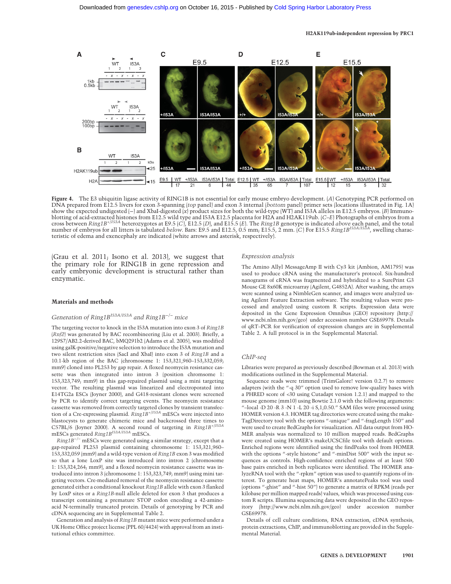

Figure 4. The E3 ubiquitin ligase activity of RING1B is not essential for early mouse embryo development. (A) Genotyping PCR performed on DNA prepared from E12.5 livers for exon 3-spanning (top panel) and exon 3 internal (bottom panel) primer sets (locations illustrated in Fig. 1A) show the expected undigested (−) and XbaI-digested (x) product sizes for both the wild-type (WT) and I53A alleles in E12.5 embryos. (B) Immunoblotting of acid-extracted histones from E12.5 wild type and I53A E12.5 placenta for H2A and H2AK119ub. (C–E) Photographs of embryos from a cross between Ring1B+/I53A heterozygotes at E9.5 (C), E12.5 (D), and E15.5 (E). The Ring1B genotype is indicated above each panel, and the total number of embryos for all litters is tabulated *below.* Bars: E9.5 and E12.5, 0.5 mm, E15.5, 2 mm. (C) For E15.5 Ring1B<sup>I53A/I53A</sup>, swelling characteristic of edema and exencephaly are indicated (white arrows and asterisk, respectively).

(Grau et al. 2011; Isono et al. 2013), we suggest that the primary role for RING1B in gene repression and early embryonic development is structural rather than enzymatic.

#### Materials and methods

# Generation of Ring1B<sup>153A/I53A</sup> and Ring1B<sup>-/−</sup> mice

The targeting vector to knock in the I53A mutation into exon 3 of Ring1B (Rnf2) was generated by BAC recombineering (Liu et al. 2003). Briefly, a 129S7/AB2.2-derived BAC, bMQ291b2 (Adams et al. 2005), was modified using galK-positive/negative selection to introduce the I53A mutation and two silent restriction sites (SacI and XbaI) into exon 3 of Ring1B and a 10.1-kb region of the BAC (chromosome 1: 153,321,960–153,332,059; mm9) cloned into PL253 by gap repair. A floxed neomycin resistance cassette was then integrated into intron 3 (position chromsome 1: 153,323,749; mm9) in this gap-repaired plasmid using a mini targeting vector. The resulting plasmid was linearized and electroporated into E14TG2a ESCs (Joyner 2000), and G418-resistant clones were screened by PCR to identify correct targeting events. The neomycin resistance cassette was removed from correctly targeted clones by transient transfection of a Cre-expressing plasmid.  $RingIB^{+/I53A}$  mESCs were injected into blastocysts to generate chimeric mice and backcrossed three times to C57BL/6 (Joyner 2000). A second round of targeting in Ring1B+/I53A mESCs generated Ring1B<sup>153A/153A</sup> mESCs.

 $Ring1B^{-/-}$  mESCs were generated using a similar strategy, except that a gap-repaired PL253 plasmid containing chromosome 1: 153,321,960– 153,332,059 (mm9) and a wild-type version of Ring1B exon 3 was modified so that a lone LoxP site was introduced into intron 2 (chromosome 1: 153,324,264; mm9), and a floxed neomycin resistance cassette was introduced into intron 3 (chromosome 1: 153,323,749; mm9) using mini targeting vectors. Cre-mediated removal of the neomycin resistance cassette generated either a conditional knockout Ring1B allele with exon 3 flanked by LoxP sites or a Ring1B-null allele deleted for exon 3 that produces a transcript containing a premature STOP codon encoding a 42-aminoacid N-terminally truncated protein. Details of genotyping by PCR and cDNA sequencing are in Supplemental Table 2.

Generation and analysis of Ring1B mutant mice were performed under a UK Home Office project license (PPL 60/4424) with approval from an institutional ethics committee.

#### Expression analysis

The Amino Allyl MessageAmp II with Cy3 kit (Ambion, AM1795) was used to produce cRNA using the manufacturer's protocol. Six-hundred nanograms of cRNA was fragmented and hybridized to a SurePrint G3 Mouse GE 8x60K microarray (Agilent, G4852A). After washing, the arrays were scanned using a NimbleGen scanner, and images were analyzed using Agilent Feature Extraction software. The resulting values were processed and analyzed using custom R scripts. Expression data were deposited in the Gene Expression Omnibus (GEO) repository [\(http://](http://www.ncbi.nlm.nih.gov/geo) [www.ncbi.nlm.nih.gov/geo](http://www.ncbi.nlm.nih.gov/geo)) under accession number GSE69978. Details of qRT–PCR for verification of expression changes are in Supplemental Table 2. A full protocol is in the Supplemental Material.

### ChIP-seq

Libraries were prepared as previously described (Bowman et al. 2013) with modifications outlined in the Supplemental Material.

Sequence reads were trimmed (TrimGalore! version 0.2.7) to remove adapters (with the "-q 30" option used to remove low-quality bases with a PHRED score of <30 using Cutadapt version 1.2.1) and mapped to the mouse genome (mm10) using Bowtie 2.1.0 with the following arguments: "–local -D 20 -R 3 -N 1 -L 20 -i S,1,0.50." SAM files were processed using HOMER version 4.3. HOMER tag directories were created using the make-TagDirectory tool with the options "-unique" and "-fragLength 150" and were used to create BedGraphs for visualization. All data output from HO-MER analysis was normalized to 10 million mapped reads. BedGraphs were created using HOMER's makeUCSCfile tool with default options. Enriched regions were identified using the findPeaks tool from HOMER with the options "-style histone" and "-minDist 500" with the input sequences as controls. High-confidence enriched regions of at least 500 base pairs enriched in both replicates were identified. The HOMER analyzeRNA tool with the "-rpkm" option was used to quantify regions of interest. To generate heat maps, HOMER's annotatePeaks tool was used (options "-ghist" and "-hist 50") to generate a matrix of RPKM (reads per kilobase per million mapped reads) values, which was processed using custom R scripts. Illumina sequencing data were deposited in the GEO repository ([http://www.ncbi.nlm.nih.gov/geo\)](http://www.ncbi.nlm.nih.gov/geo) under accession number GSE69978.

Details of cell culture conditions, RNA extraction, cDNA synthesis, protein extractions, ChIP, and immunoblotting are provided in the Supplemental Material.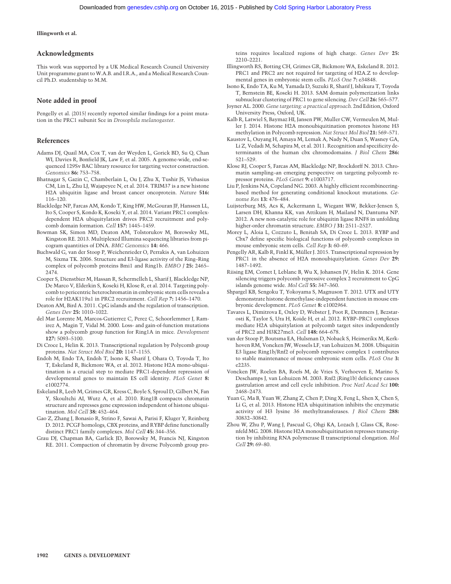Illingworth et al.

## Acknowledgments

This work was supported by a UK Medical Research Council University Unit programme grant to W.A.B. and I.R.A., and a Medical Research Council Ph.D. studentship to M.M.

## Note added in proof

Pengelly et al. (2015) recently reported similar findings for a point mutation in the PRC1 subunit Sce in Drosophila melanogaster.

### References

- Adams DJ, Quail MA, Cox T, van der Weyden L, Gorick BD, Su Q, Chan WI, Davies R, Bonfield JK, Law F, et al. 2005. A genome-wide, end-sequenced 129Sv BAC library resource for targeting vector construction. Genomics 86: 753–758.
- Bhatnagar S, Gazin C, Chamberlain L, Ou J, Zhu X, Tushir JS, Virbasius CM, Lin L, Zhu LJ, Wajapeyee N, et al. 2014. TRIM37 is a new histone H2A ubiquitin ligase and breast cancer oncoprotein. Nature 516: 116–120.
- Blackledge NP, Farcas AM, Kondo T, King HW, McGouran JF, Hanssen LL, Ito S, Cooper S, Kondo K, Koseki Y, et al. 2014. Variant PRC1 complexdependent H2A ubiquitylation drives PRC2 recruitment and polycomb domain formation. Cell 157: 1445–1459.
- Bowman SK, Simon MD, Deaton AM, Tolstorukov M, Borowsky ML, Kingston RE. 2013. Multiplexed Illumina sequencing libraries from picogram quantities of DNA. BMC Genomics 14: 466.
- Buchwald G, van der Stoop P, Weichenrieder O, Perrakis A, van Lohuizen M, Sixma TK. 2006. Structure and E3-ligase activity of the Ring–Ring complex of polycomb proteins Bmi1 and Ring1b. EMBO J 25: 2465– 2474.
- Cooper S, Dienstbier M, Hassan R, Schermelleh L, Sharif J, Blackledge NP, De Marco V, Elderkin S, Koseki H, Klose R, et al. 2014. Targeting polycomb to pericentric heterochromatin in embryonic stem cells reveals a role for H2AK119u1 in PRC2 recruitment. Cell Rep 7: 1456–1470.
- Deaton AM, Bird A. 2011. CpG islands and the regulation of transcription. Genes Dev 25: 1010–1022.
- del Mar Lorente M, Marcos-Gutierrez C, Perez C, Schoorlemmer J, Ramirez A, Magin T, Vidal M. 2000. Loss- and gain-of-function mutations show a polycomb group function for Ring1A in mice. Development 127: 5093–5100.
- Di Croce L, Helin K. 2013. Transcriptional regulation by Polycomb group proteins. Nat Struct Mol Biol 20: 1147–1155.
- Endoh M, Endo TA, Endoh T, Isono K, Sharif J, Ohara O, Toyoda T, Ito T, Eskeland R, Bickmore WA, et al. 2012. Histone H2A mono-ubiquitination is a crucial step to mediate PRC1-dependent repression of developmental genes to maintain ES cell identity. PLoS Genet 8: e1002774.
- Eskeland R, Leeb M, Grimes GR, Kress C, Boyle S, Sproul D, Gilbert N, Fan Y, Skoultchi AI, Wutz A, et al. 2010. Ring1B compacts chromatin structure and represses gene expression independent of histone ubiquitination. Mol Cell 38: 452–464.
- Gao Z, Zhang J, Bonasio R, Strino F, Sawai A, Parisi F, Kluger Y, Reinberg D. 2012. PCGF homologs, CBX proteins, and RYBP define functionally distinct PRC1 family complexes. Mol Cell 45: 344–356.
- Grau DJ, Chapman BA, Garlick JD, Borowsky M, Francis NJ, Kingston RE. 2011. Compaction of chromatin by diverse Polycomb group pro-

teins requires localized regions of high charge. Genes Dev 25: 2210–2221.

- Illingworth RS, Botting CH, Grimes GR, Bickmore WA, Eskeland R. 2012. PRC1 and PRC2 are not required for targeting of H2A.Z to developmental genes in embryonic stem cells. PLoS One 7: e34848.
- Isono K, Endo TA, Ku M, Yamada D, Suzuki R, Sharif J, Ishikura T, Toyoda T, Bernstein BE, Koseki H. 2013. SAM domain polymerization links subnuclear clustering of PRC1 to gene silencing. Dev Cell 26: 565-577.
- Joyner AL. 2000. Gene targeting: a practical approach. 2nd Edition, Oxford University Press, Oxford, UK.
- Kalb R, Latwiel S, Baymaz HI, Jansen PW, Muller CW, Vermeulen M, Muller J. 2014. Histone H2A monoubiquitination promotes histone H3 methylation in Polycomb repression. Nat Struct Mol Biol 21: 569–571.
- Kaustov L, Ouyang H, Amaya M, Lemak A, Nady N, Duan S, Wasney GA, Li Z, Vedadi M, Schapira M, et al. 2011. Recognition and specificity determinants of the human cbx chromodomains. J Biol Chem 286: 521–529.
- Klose RJ, Cooper S, Farcas AM, Blackledge NP, Brockdorff N. 2013. Chromatin sampling–an emerging perspective on targeting polycomb repressor proteins. PLoS Genet 9: e1003717.
- Liu P, Jenkins NA, Copeland NG. 2003. A highly efficient recombineeringbased method for generating conditional knockout mutations. Genome Res 13: 476–484.
- Luijsterburg MS, Acs K, Ackermann L, Wiegant WW, Bekker-Jensen S, Larsen DH, Khanna KK, van Attikum H, Mailand N, Dantuma NP. 2012. A new non-catalytic role for ubiquitin ligase RNF8 in unfolding higher-order chromatin structure. EMBO J 31: 2511-2527
- Morey L, Aloia L, Cozzuto L, Benitah SA, Di Croce L. 2013. RYBP and Cbx7 define specific biological functions of polycomb complexes in mouse embryonic stem cells. Cell Rep 3: 60–69.
- Pengelly AR, Kalb R, Finkl K, Müller J. 2015. Transcriptional repression by PRC1 in the absence of H2A monoubiquitylation. Genes Dev 29: 1487–1492.
- Riising EM, Comet I, Leblanc B, Wu X, Johansen JV, Helin K. 2014. Gene silencing triggers polycomb repressive complex 2 recruitment to CpG islands genome wide. Mol Cell 55: 347–360.
- Shpargel KB, Sengoku T, Yokoyama S, Magnuson T. 2012. UTX and UTY demonstrate histone demethylase-independent function in mouse embryonic development. PLoS Genet 8: e1002964.
- Tavares L, Dimitrova E, Oxley D, Webster J, Poot R, Demmers J, Bezstarosti K, Taylor S, Ura H, Koide H, et al. 2012. RYBP–PRC1 complexes mediate H2A ubiquitylation at polycomb target sites independently of PRC2 and H3K27me3. Cell 148: 664–678.
- van der Stoop P, Boutsma EA, Hulsman D, Noback S, Heimerikx M, Kerkhoven RM, Voncken JW, Wessels LF, van Lohuizen M. 2008. Ubiquitin E3 ligase Ring1b/Rnf2 of polycomb repressive complex 1 contributes to stable maintenance of mouse embryonic stem cells. PLoS One 3: e2235.
- Voncken JW, Roelen BA, Roefs M, de Vries S, Verhoeven E, Marino S, Deschamps J, van Lohuizen M. 2003. Rnf2 (Ring1b) deficiency causes gastrulation arrest and cell cycle inhibition. Proc Natl Acad Sci 100: 2468–2473.
- Yuan G, Ma B, Yuan W, Zhang Z, Chen P, Ding X, Feng L, Shen X, Chen S, Li G, et al. 2013. Histone H2A ubiquitination inhibits the enzymatic activity of H3 lysine 36 methyltransferases. J Biol Chem 288: 30832–30842.
- Zhou W, Zhu P, Wang J, Pascual G, Ohgi KA, Lozach J, Glass CK, Rosenfeld MG. 2008. Histone H2A monoubiquitination represses transcription by inhibiting RNA polymerase II transcriptional elongation. Mol  $Cell$  29: 69–80.